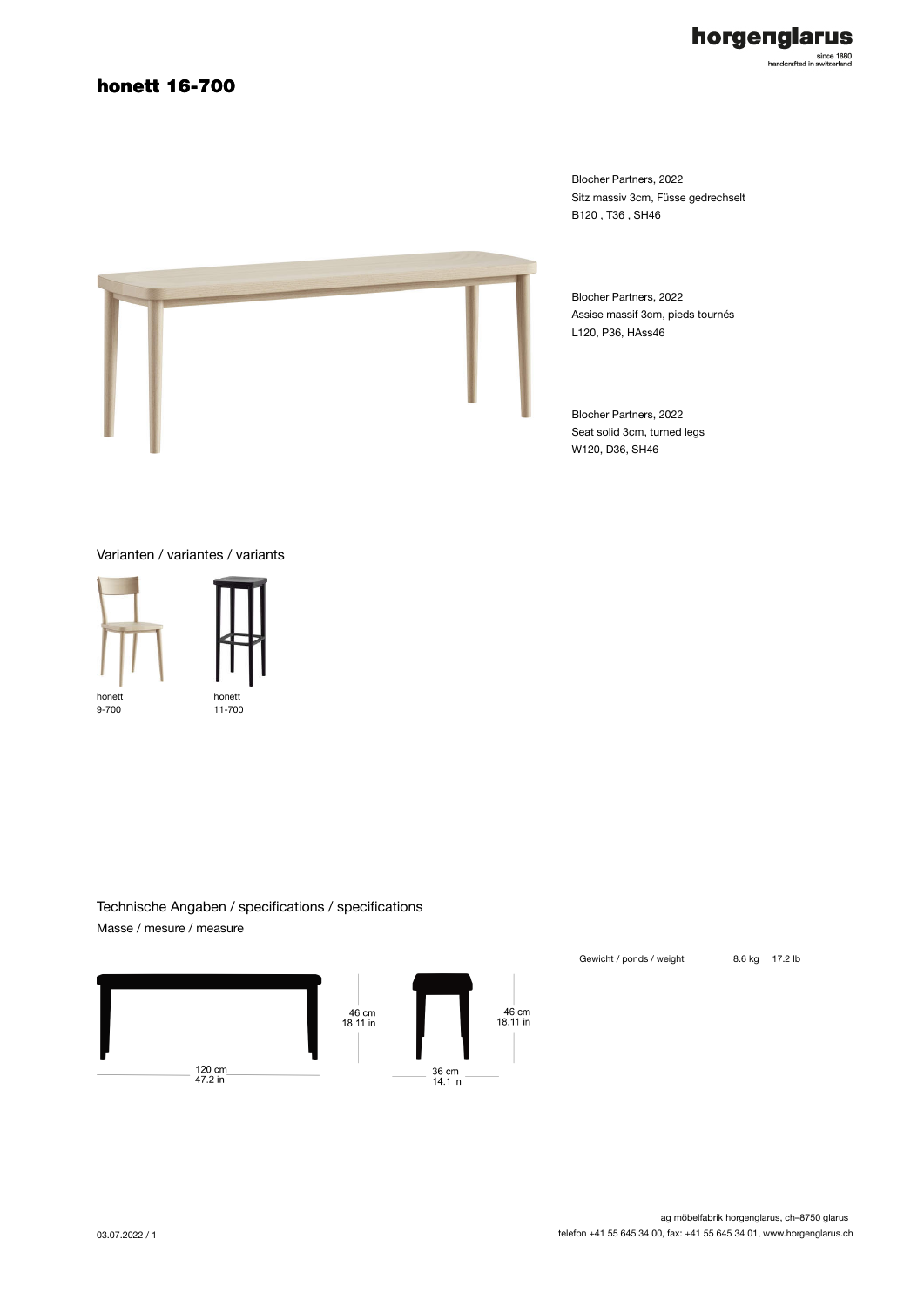### honett 16-700



Blocher Partners, 2022 Sitz massiv 3cm, Füsse gedrechselt B120 , T36 , SH46



Blocher Partners, 2022 Assise massif 3cm, pieds tournés L120, P36, HAss46

Blocher Partners, 2022 Seat solid 3cm, turned legs W120, D36, SH46

Varianten / variantes / variants



Technische Angaben / specifications / specifications Masse / mesure / measure



Gewicht / ponds / weight 8.6 kg 17.2 lb